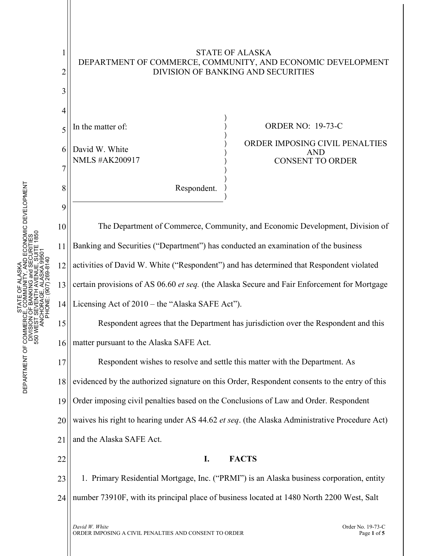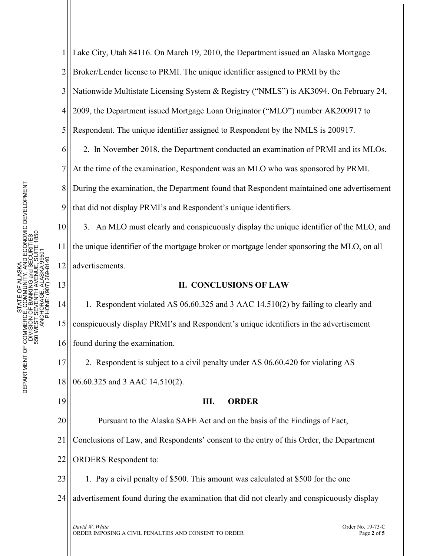1 2 3 4 5 6 7 8 9 10 11 Lake City, Utah 84116. On March 19, 2010, the Department issued an Alaska Mortgage Broker/Lender license to PRMI. The unique identifier assigned to PRMI by the Nationwide Multistate Licensing System & Registry ("NMLS") is AK3094. On February 24, 2009, the Department issued Mortgage Loan Originator ("MLO") number AK200917 to Respondent. The unique identifier assigned to Respondent by the NMLS is 200917. 2. In November 2018, the Department conducted an examination of PRMI and its MLOs. At the time of the examination, Respondent was an MLO who was sponsored by PRMI. During the examination, the Department found that Respondent maintained one advertisement that did not display PRMI's and Respondent's unique identifiers. 3. An MLO must clearly and conspicuously display the unique identifier of the MLO, and the unique identifier of the mortgage broker or mortgage lender sponsoring the MLO, on all

## **II. CONCLUSIONS OF LAW**

14 15 16 1. Respondent violated AS 06.60.325 and 3 AAC 14.510(2) by failing to clearly and conspicuously display PRMI's and Respondent's unique identifiers in the advertisement found during the examination.

17 18 2. Respondent is subject to a civil penalty under AS 06.60.420 for violating AS 06.60.325 and 3 AAC 14.510(2).

19

12

advertisements.

13

## **III. ORDER**

20 21 Pursuant to the Alaska SAFE Act and on the basis of the Findings of Fact, Conclusions of Law, and Respondents' consent to the entry of this Order, the Department

22 ORDERS Respondent to:

23 1. Pay a civil penalty of \$500. This amount was calculated at \$500 for the one

24 advertisement found during the examination that did not clearly and conspicuously display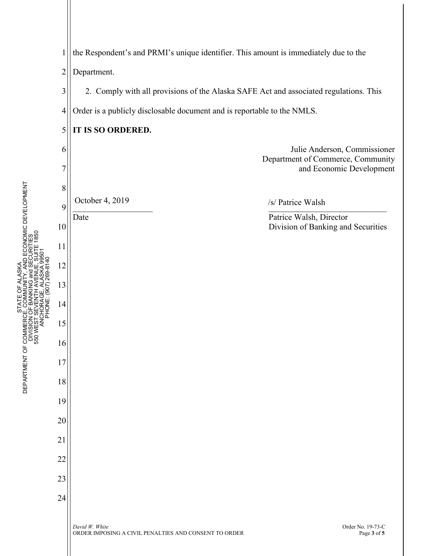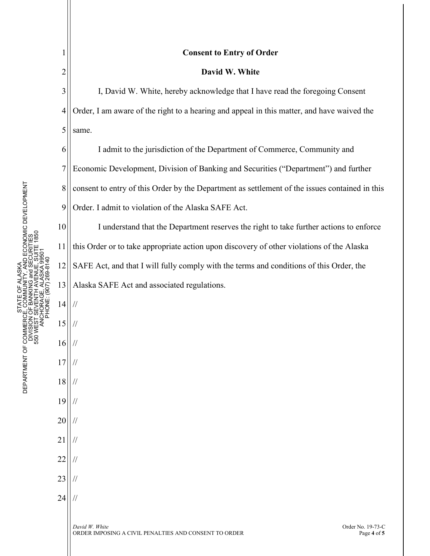1

2

10

11

14

//

//

//

//

//

//

//

//

//

//

//

15

16

17

18

19

20

21

22

23

24

## **Consent to Entry of Order**

## **David W. White**

3 4 5 I, David W. White, hereby acknowledge that I have read the foregoing Consent Order, I am aware of the right to a hearing and appeal in this matter, and have waived the same.

6 7 8 9 I admit to the jurisdiction of the Department of Commerce, Community and Economic Development, Division of Banking and Securities ("Department") and further consent to entry of this Order by the Department as settlement of the issues contained in this Order. I admit to violation of the Alaska SAFE Act.

12 13 I understand that the Department reserves the right to take further actions to enforce this Order or to take appropriate action upon discovery of other violations of the Alaska SAFE Act, and that I will fully comply with the terms and conditions of this Order, the Alaska SAFE Act and associated regulations.